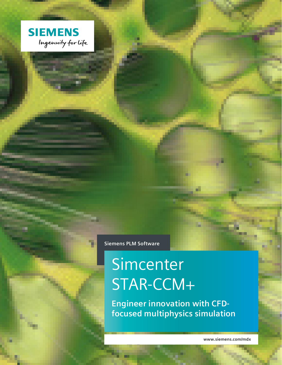

**Siemens PLM Software**

# Simcenter STAR-CCM+

**Engineer innovation with CFDfocused multiphysics simulation**

**www.siemens.com/mdx**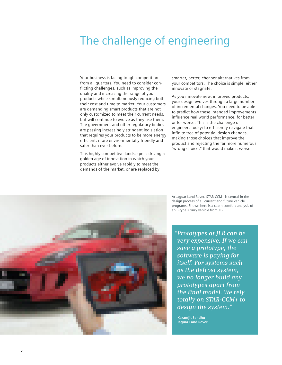# The challenge of engineering

Your business is facing tough competition from all quarters. You need to consider conflicting challenges, such as improving the quality and increasing the range of your products while simultaneously reducing both their cost and time to market. Your customers are demanding smart products that are not only customized to meet their current needs, but will continue to evolve as they use them. The government and other regulatory bodies are passing increasingly stringent legislation that requires your products to be more energy efficient, more environmentally friendly and safer than ever before.

This highly competitive landscape is driving a golden age of innovation in which your products either evolve rapidly to meet the demands of the market, or are replaced by

smarter, better, cheaper alternatives from your competitors. The choice is simple, either innovate or stagnate.

As you innovate new, improved products, your design evolves through a large number of incremental changes. You need to be able to predict how these intended improvements influence real world performance, for better or for worse. This is the challenge of engineers today: to efficiently navigate that infinite tree of potential design changes, making those choices that improve the product and rejecting the far more numerous "wrong choices" that would make it worse.

At Jaguar Land Rover, STAR-CCM+ is central in the design process of all current and future vehicle programs. Shown here is a cabin comfort analysis of an F-type luxury vehicle from JLR.

*"Prototypes at JLR can be very expensive. If we can save a prototype, the software is paying for itself. For systems such as the defrost system, we no longer build any prototypes apart from the final model. We rely totally on STAR-CCM+ to design the system."*

**Karamjit Sandhu Jaguar Land Rover**

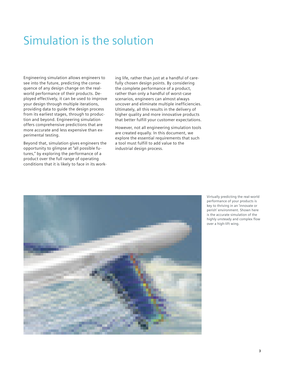# Simulation is the solution

Engineering simulation allows engineers to see into the future, predicting the consequence of any design change on the realworld performance of their products. Deployed effectively, it can be used to improve your design through multiple iterations, providing data to guide the design process from its earliest stages, through to production and beyond. Engineering simulation offers comprehensive predictions that are more accurate and less expensive than experimental testing.

Beyond that, simulation gives engineers the opportunity to glimpse at "all possible futures," by exploring the performance of a product over the full range of operating conditions that it is likely to face in its working life, rather than just at a handful of carefully chosen design points. By considering the complete performance of a product, rather than only a handful of worst-case scenarios, engineers can almost always uncover and eliminate multiple inefficiencies. Ultimately, all this results in the delivery of higher quality and more innovative products that better fulfill your customer expectations.

However, not all engineering simulation tools are created equally. In this document, we explore the essential requirements that such a tool must fulfill to add value to the industrial design process.



Virtually predicting the real-world performance of your products is key to thriving in an 'innovate or perish' environment. Shown here is the accurate simulation of the highly unsteady and complex flow over a high-lift wing.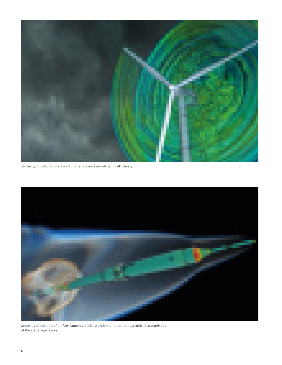

Unsteady simulation of a wind turbine to assess aerodynamic efficiency.



Unsteady simulation of an Ares launch vehicle to understand the aerodynamic characteristics of the stage separation.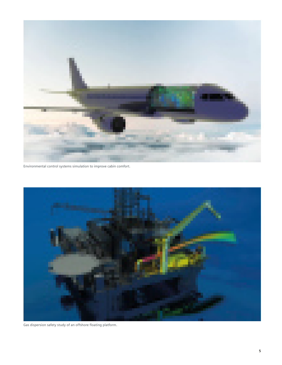

Environmental control systems simulation to improve cabin comfort.



Gas dispersion safety study of an offshore floating platform.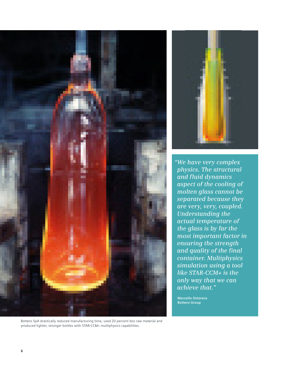



*"We have very complex physics. The structural and fluid dynamics aspect of the cooling of molten glass cannot be separated because they are very, very, coupled. Understanding the actual temperature of the glass is by far the most important factor in ensuring the strength and quality of the final container. Multiphysics simulation using a tool like STAR-CCM+ is the only way that we can achieve that."*

**Marcello Ostorero Bottero Group**

Bottero SpA drastically reduced manufacturing time, used 20 percent less raw material and produced lighter, stronger bottles with STAR-CCM+ multiphysics capabilities.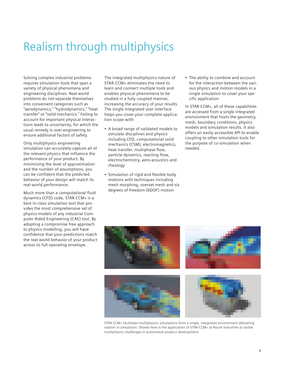# Realism through multiphysics

Solving complex industrial problems requires simulation tools that span a variety of physical phenomena and engineering disciplines. Real-world problems do not separate themselves into convenient categories such as "aerodynamics," "hydrodynamics," "heat transfer" or "solid mechanics." Failing to account for important physical interactions leads to uncertainty, for which the usual remedy is over-engineering to ensure additional factors of safety.

Only multiphysics engineering simulation can accurately capture all of the relevant physics that influence the performance of your product. By minimizing the level of approximation and the number of assumptions, you can be confident that the predicted behavior of your design will match its real-world performance.

Much more than a computational fluid dynamics (CFD) code, STAR-CCM+ is a best-in-class simulation tool that provides the most comprehensive set of physics models of any industrial Computer Aided Engineering (CAE) tool. By adopting a compromise free approach to physics modelling, you will have confidence that your predictions match the real-world behavior of your product across its full operating envelope.

The integrated multiphysics nature of STAR-CCM+ eliminates the need to learn and connect multiple tools and enables physical phenomena to be studied in a fully coupled manner, increasing the accuracy of your results. The single integrated user interface helps you cover your complete application scope with:

- A broad range of validated models to simulate disciplines and physics including CFD, computational solid mechanics (CSM), electromagnetics, heat transfer, multiphase flow, particle dynamics, reacting flow, electrochemistry, aero-acoustics and rheology
- Simulation of rigid and flexible body motions with techniques including mesh morphing, overset mesh and six degrees of freedom (6DOF) motion

• The ability to combine and account for the interaction between the various physics and motion models in a single simulation to cover your specific application

In STAR-CCM+, all of these capabilities are accessed from a single integrated environment that hosts the geometry, mesh, boundary conditions, physics models and simulation results. It also offers an easily accessible API to enable coupling to other simulation tools for the purpose of co-simulation when needed.



STAR-CCM+ facilitates multiphysics simulations from a single, integrated environment delivering realism in simulation. Shown here is the application of STAR-CCM+ at Roush Industries to tackle multiphysics challenges in automotive product development.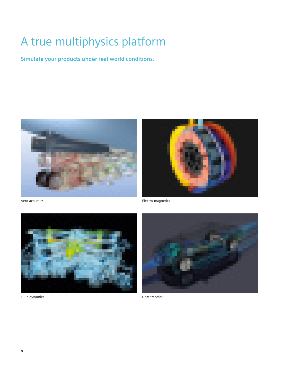# A true multiphysics platform

**Simulate your products under real world conditions.**





Aero-acoustics



Fluid dynamics

Heat transfer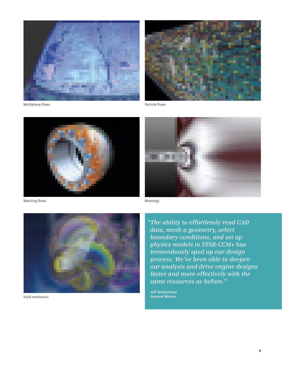

Multiphase flows



Reacting flows



Solid mechanics

Particle flows



Rheology

*"The ability to effortlessly read CAD data, mesh a geometry, select boundary conditions, and set up physics models in STAR-CCM+ has tremendously sped up our design process. We've been able to deepen our analysis and drive engine designs faster and more effectively with the same resources as before."* 

**Jeff Schlautman General Motors**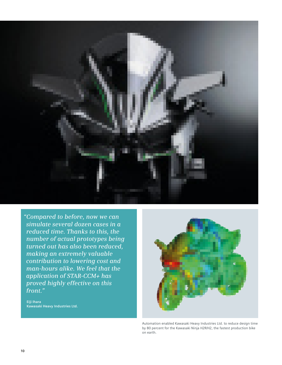

*"Compared to before, now we can simulate several dozen cases in a reduced time. Thanks to this, the number of actual prototypes being turned out has also been reduced, making an extremely valuable contribution to lowering cost and man-hours alike. We feel that the application of STAR-CCM+ has proved highly effective on this front."*

**Eiji Ihara Kawasaki Heavy Industries Ltd.**



Automation enabled Kawasaki Heavy Industries Ltd. to reduce design time by 80 percent for the Kawasaki Ninja H2R/H2, the fastest production bike on earth.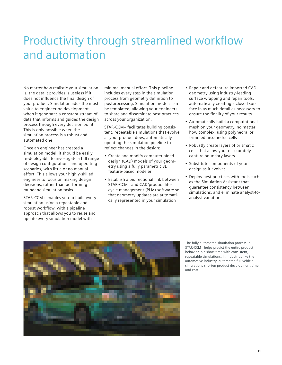# Productivity through streamlined workflow and automation

No matter how realistic your simulation is, the data it provides is useless if it does not influence the final design of your product. Simulation adds the most value to engineering development when it generates a constant stream of data that informs and guides the design process through every decision point. This is only possible when the simulation process is a robust and automated one.

Once an engineer has created a simulation model, it should be easily re-deployable to investigate a full range of design configurations and operating scenarios, with little or no manual effort. This allows your highly-skilled engineer to focus on making design decisions, rather than performing mundane simulation tasks.

STAR-CCM+ enables you to build every simulation using a repeatable and robust workflow, with a pipeline approach that allows you to reuse and update every simulation model with

minimal manual effort. This pipeline includes every step in the simulation process from geometry definition to postprocessing. Simulation models can be templated, allowing your engineers to share and disseminate best practices across your organization.

STAR-CCM+ facilitates building consistent, repeatable simulations that evolve as your product does, automatically updating the simulation pipeline to reflect changes in the design:

- Create and modify computer-aided design (CAD) models of your geometry using a fully parametric 3D feature-based modeler
- Establish a bidirectional link between STAR-CCM+ and CAD/product lifecycle management (PLM) software so that geometry updates are automatically represented in your simulation
- Repair and defeature imported CAD geometry using industry-leading surface wrapping and repair tools, automatically creating a closed surface in as much detail as necessary to ensure the fidelity of your results
- Automatically build a computational mesh on your geometry, no matter how complex, using polyhedral or trimmed hexahedral cells
- Robustly create layers of prismatic cells that allow you to accurately capture boundary layers
- Substitute components of your design as it evolves
- Deploy best practices with tools such as the Simulation Assistant that guarantee consistency between simulations, and eliminate analyst-toanalyst variation



The fully automated simulation process in STAR-CCM+ helps predict the entire product behavior in a short time with consistent, repeatable simulations. In industries like the automotive industry, automated full vehicle simulations shorten product development time and cost.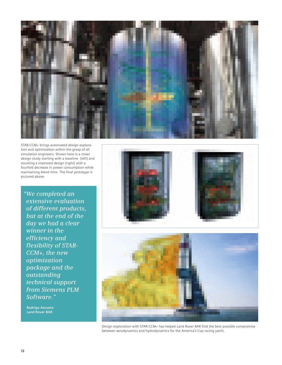

STAR-CCM+ brings automated design exploration and optimization within the grasp of all simulation engineers. Shown here is a mixer design study starting with a baseline (left) and resulting a improved design (right) with a fourfold decrease in power consumption while maintaining blend time. The final prototype is pictured above.

*"We completed an extensive evaluation of different products, but at the end of the day we had a clear winner in the efficiency and flexibility of STAR-CCM+, the new optimization package and the outstanding technical support from Siemens PLM Software."*

**Rodrigo Azcueta Land Rover BAR**





Design exploration with STAR-CCM+ has helped Land Rover BAR find the best possible compromise between aerodynamics and hydrodynamics for the America's Cup racing yacht.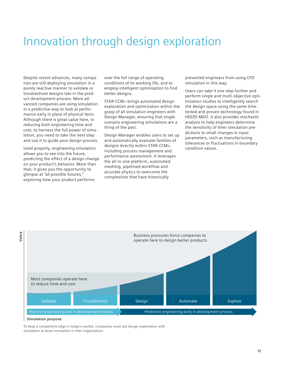### Innovation through design exploration

Despite recent advances, many companies are still deploying simulation in a purely reactive manner to validate or troubleshoot designs late in the product development process. More advanced companies are using simulation in a predictive way to look at performance early in place of physical tests. Although there is great value here, in reducing both engineering time and cost, to harness the full power of simulation, you need to take the next step and use it to guide your design process.

Used properly, engineering simulation allows you to see into the future, predicting the effect of a design change on your product's behavior. More than that, it gives you the opportunity to glimpse at "all possible futures," exploring how your product performs

over the full range of operating conditions of its working life, and to employ intelligent optimization to find better designs.

STAR-CCM+ brings automated design exploration and optimization within the grasp of all simulation engineers with Design Manager, ensuring that singlescenario engineering simulations are a thing of the past.

Design Manager enables users to set up and automatically evaluate families of designs directly within STAR-CCM+, including process management and performance assessment. It leverages the all-in-one platform, automated meshing, pipelined workflow and accurate physics to overcome the complexities that have historically

prevented engineers from using CFD simulation in this way.

Users can take it one step further and perform single and multi-objective optimization studies to intelligently search the design space using the same timetested and proven technology found in HEEDS MDO. It also provides stochastic analysis to help engineers determine the sensitivity of their simulation predictions to small changes in input parameters, such as manufacturing tolerances or fluctuations in boundary condition values.



#### **Simulation purpose**

To keep a competitive edge in today's market, companies must use design exploration with simulation to drive innovation in their organization.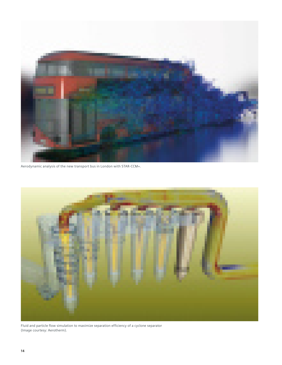

Aerodynamic analysis of the new transport bus in London with STAR-CCM+.



Fluid and particle flow simulation to maximize separation efficiency of a cyclone separator (Image courtesy: Aerotherm).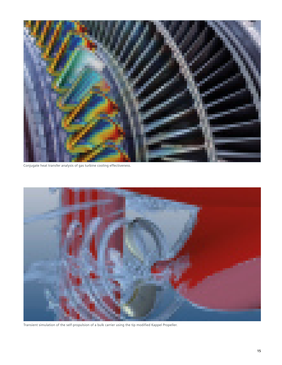

Conjugate heat transfer analysis of gas turbine cooling effectiveness.



Transient simulation of the self-propulsion of a bulk carrier using the tip modified Kappel Propeller.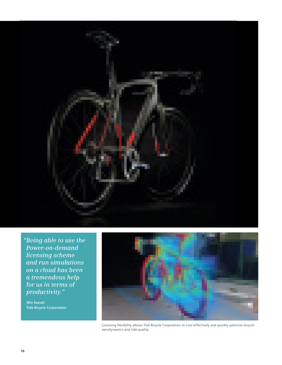

*"Being able to use the Power-on-demand licensing scheme and run simulations on a cloud has been a tremendous help for us in terms of productivity."*

**Mio Suzuki Trek Bicycle Corporation**



Licensing flexibility allows Trek Bicycle Corporation to cost-effectively and quickly optimize bicycle aerodynamics and ride quality.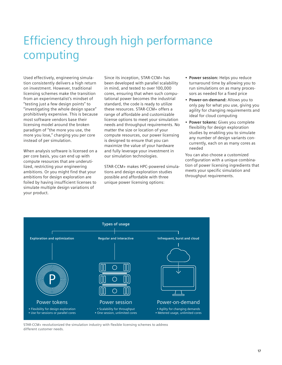# Efficiency through high performance computing

Used effectively, engineering simulation consistently delivers a high return on investment. However, traditional licensing schemes make the transition from an experimentalist's mindset of "testing just a few design points" to "investigating the whole design space" prohibitively expensive. This is because most software vendors base their licensing model around the broken paradigm of "the more you use, the more you lose," charging you per core instead of per simulation.

When analysis software is licensed on a per core basis, you can end up with compute resources that are underutilized, restricting your engineering ambitions. Or you might find that your ambitions for design exploration are foiled by having insufficient licenses to simulate multiple design variations of your product.

Since its inception, STAR-CCM+ has been developed with parallel scalability in mind, and tested to over 100,000 cores, ensuring that when such computational power becomes the industrial standard, the code is ready to utilize these resources. STAR-CCM+ offers a range of affordable and customizable license options to meet your simulation needs and throughput requirements. No matter the size or location of your compute resources, our power licensing is designed to ensure that you can maximize the value of your hardware and fully leverage your investment in our simulation technologies.

STAR-CCM+ makes HPC-powered simulations and design exploration studies possible and affordable with three unique power licensing options:

- **Power session:** Helps you reduce turnaround time by allowing you to run simulations on as many processors as needed for a fixed price
- **Power-on-demand:** Allows you to only pay for what you use, giving you agility for changing requirements and ideal for cloud computing
- **Power tokens:** Gives you complete flexibility for design exploration studies by enabling you to simulate any number of design variants concurrently, each on as many cores as needed

You can also choose a customized configuration with a unique combination of power licensing ingredients that meets your specific simulation and throughput requirements.



STAR-CCM+ revolutionized the simulation industry with flexible licensing schemes to address different customer needs.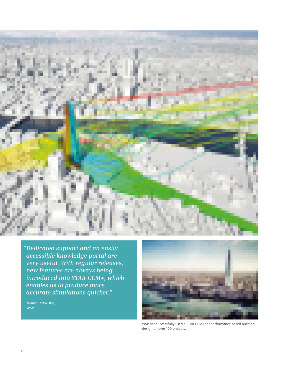

*"Dedicated support and an easily accessible knowledge portal are very useful. With regular releases, new features are always being introduced into STAR-CCM+, which enables us to produce more accurate simulations quicker."*

**James Bertwistle, WSP**



WSP has successfully used a STAR-CCM+ for performance-based building design on over 100 projects.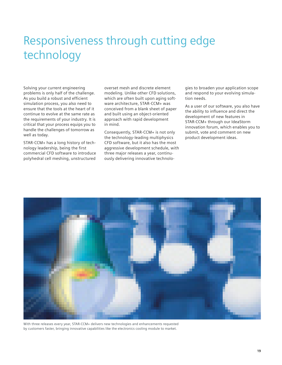# Responsiveness through cutting edge technology

Solving your current engineering problems is only half of the challenge. As you build a robust and efficient simulation process, you also need to ensure that the tools at the heart of it continue to evolve at the same rate as the requirements of your industry. It is critical that your process equips you to handle the challenges of tomorrow as well as today.

STAR-CCM+ has a long history of technology leadership, being the first commercial CFD software to introduce polyhedral cell meshing, unstructured

overset mesh and discrete element modeling. Unlike other CFD solutions, which are often built upon aging software architecture, STAR-CCM+ was conceived from a blank sheet of paper and built using an object-oriented approach with rapid development in mind.

Consequently, STAR-CCM+ is not only the technology-leading multiphysics CFD software, but it also has the most aggressive development schedule, with three major releases a year, continuously delivering innovative technologies to broaden your application scope and respond to your evolving simulation needs.

As a user of our software, you also have the ability to influence and direct the development of new features in STAR-CCM+ through our IdeaStorm innovation forum, which enables you to submit, vote and comment on new product development ideas.



With three releases every year, STAR-CCM+ delivers new technologies and enhancements requested by customers faster, bringing innovative capabilities like the electronics cooling module to market.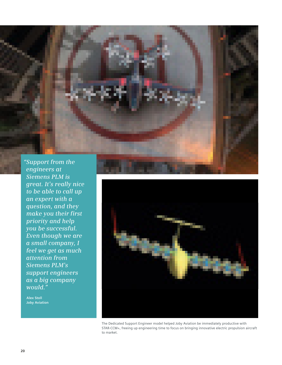

*engineers at Siemens PLM is great. It's really nice to be able to call up an expert with a question, and they make you their first priority and help you be successful. Even though we are a small company, I feel we get as much attention from Siemens PLM's support engineers as a big company would."*

**Alex Stoll Joby Aviation**



The Dedicated Support Engineer model helped Joby Aviation be immediately productive with STAR-CCM+, freeing up engineering time to focus on bringing innovative electric propulsion aircraft to market.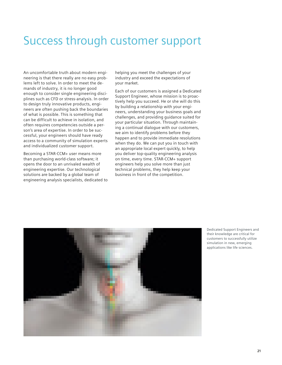### Success through customer support

An uncomfortable truth about modern engineering is that there really are no easy problems left to solve. In order to meet the demands of industry, it is no longer good enough to consider single engineering disciplines such as CFD or stress-analysis. In order to design truly innovative products, engineers are often pushing back the boundaries of what is possible. This is something that can be difficult to achieve in isolation, and often requires competencies outside a person's area of expertise. In order to be successful, your engineers should have ready access to a community of simulation experts and individualized customer support.

Becoming a STAR-CCM+ user means more than purchasing world-class software; it opens the door to an unrivaled wealth of engineering expertise. Our technological solutions are backed by a global team of engineering analysis specialists, dedicated to helping you meet the challenges of your industry and exceed the expectations of your market.

Each of our customers is assigned a Dedicated Support Engineer, whose mission is to proactively help you succeed. He or she will do this by building a relationship with your engineers, understanding your business goals and challenges, and providing guidance suited for your particular situation. Through maintaining a continual dialogue with our customers, we aim to identify problems before they happen and to provide immediate resolutions when they do. We can put you in touch with an appropriate local expert quickly, to help you deliver top-quality engineering analysis on time, every time. STAR-CCM+ support engineers help you solve more than just technical problems, they help keep your business in front of the competition.



Dedicated Support Engineers and their knowledge are critical for customers to successfully utilize simulation in new, emerging applications like life sciences.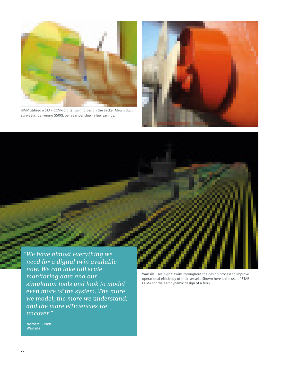

IBMV utilized a STAR-CCM+ digital twin to design the Becker Mewis duct in six weeks, delivering \$500k per year per ship in fuel savings.



*"We have almost everything we need for a digital twin available now. We can take full scale monitoring data and our simulation tools and look to model even more of the system. The more we model, the more we understand, and the more efficiencies we uncover."*

Wärtsilä uses digital twins throughout the design process to improve operational efficiency of their vessels. Shown here is the use of STAR-CCM+ for the aerodynamic design of a ferry.

**Norbert Bulten Wärtsilä**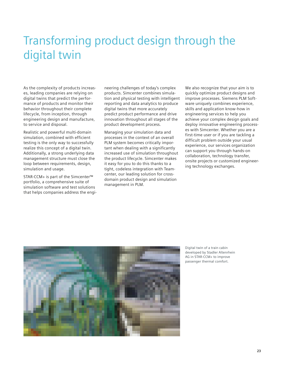# Transforming product design through the digital twin

As the complexity of products increases, leading companies are relying on digital twins that predict the performance of products and monitor their behavior throughout their complete lifecycle, from inception, through engineering design and manufacture, to service and disposal.

Realistic and powerful multi-domain simulation, combined with efficient testing is the only way to successfully realize this concept of a digital twin. Additionally, a strong underlying data management structure must close the loop between requirements, design, simulation and usage.

STAR-CCM+ is part of the Simcenter™ portfolio, a comprehensive suite of simulation software and test solutions that helps companies address the engineering challenges of today's complex products. Simcenter combines simulation and physical testing with intelligent reporting and data analytics to produce digital twins that more accurately predict product performance and drive innovation throughout all stages of the product development process.

Managing your simulation data and processes in the context of an overall PLM system becomes critically important when dealing with a significantly increased use of simulation throughout the product lifecycle. Simcenter makes it easy for you to do this thanks to a tight, codeless integration with Teamcenter, our leading solution for crossdomain product design and simulation management in PLM.

We also recognize that your aim is to quickly optimize product designs and improve processes. Siemens PLM Software uniquely combines experience, skills and application know-how in engineering services to help you achieve your complex design goals and deploy innovative engineering processes with Simcenter. Whether you are a first-time user or if you are tackling a difficult problem outside your usual experience, our services organization can support you through hands-on collaboration, technology transfer, onsite projects or customized engineering technology exchanges.



Digital twin of a train cabin developed by Stadler Altenrhein AG in STAR-CCM+ to improve passenger thermal comfort.